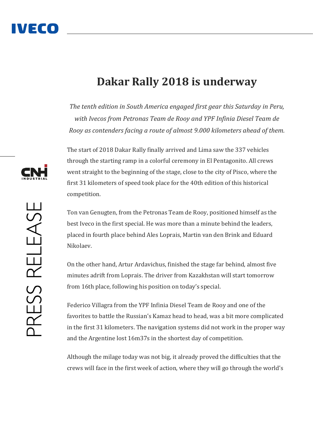## IVECO

## **Dakar Rally 2018 is underway**

*The tenth edition in South America engaged first gear this Saturday in Peru, with Ivecos from Petronas Team de Rooy and YPF Infinia Diesel Team de Rooy as contenders facing a route of almost 9.000 kilometers ahead of them.*

The start of 2018 Dakar Rally finally arrived and Lima saw the 337 vehicles through the starting ramp in a colorful ceremony in El Pentagonito. All crews went straight to the beginning of the stage, close to the city of Pisco, where the first 31 kilometers of speed took place for the 40th edition of this historical competition.

Ton van Genugten, from the Petronas Team de Rooy, positioned himself as the best Iveco in the first special. He was more than a minute behind the leaders, placed in fourth place behind Ales Loprais, Martin van den Brink and Eduard Nikolaev.

On the other hand, Artur Ardavichus, finished the stage far behind, almost five minutes adrift from Loprais. The driver from Kazakhstan will start tomorrow from 16th place, following his position on today's special.

Federico Villagra from the YPF Infinia Diesel Team de Rooy and one of the favorites to battle the Russian's Kamaz head to head, was a bit more complicated in the first 31 kilometers. The navigation systems did not work in the proper way and the Argentine lost 16m37s in the shortest day of competition.

Although the milage today was not big, it already proved the difficulties that the crews will face in the first week of action, where they will go through the world's